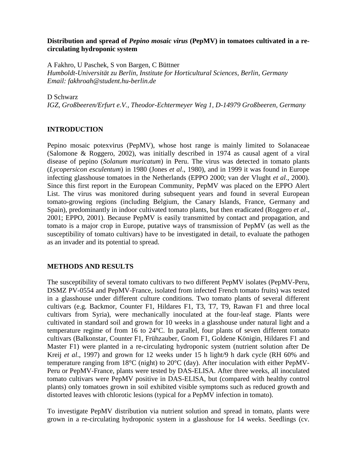### **Distribution and spread of** *Pepino mosaic virus* **(PepMV) in tomatoes cultivated in a recirculating hydroponic system**

A Fakhro, U Paschek, S von Bargen, C Büttner *Humboldt-Universität zu Berlin, Institute for Horticultural Sciences, Berlin, Germany Email: fakhroah@student.hu-berlin.de*

### D Schwarz

*IGZ, Großbeeren/Erfurt e.V., Theodor-Echtermeyer Weg 1, D-14979 Großbeeren, Germany*

## **INTRODUCTION**

Pepino mosaic potexvirus (PepMV), whose host range is mainly limited to Solanaceae (Salomone & Roggero, 2002), was initially described in 1974 as causal agent of a viral disease of pepino (*Solanum muricatum*) in Peru. The virus was detected in tomato plants (*Lycopersicon esculentum*) in 1980 (Jones *et al*., 1980), and in 1999 it was found in Europe infecting glasshouse tomatoes in the Netherlands (EPPO 2000; van der Vlught *et al*., 2000). Since this first report in the European Community, PepMV was placed on the EPPO Alert List. The virus was monitored during subsequent years and found in several European tomato-growing regions (including Belgium, the Canary Islands, France, Germany and Spain), predominantly in indoor cultivated tomato plants, but then eradicated (Roggero *et al*., 2001; EPPO, 2001). Because PepMV is easily transmitted by contact and propagation, and tomato is a major crop in Europe, putative ways of transmission of PepMV (as well as the susceptibility of tomato cultivars) have to be investigated in detail, to evaluate the pathogen as an invader and its potential to spread.

# **METHODS AND RESULTS**

The susceptibility of several tomato cultivars to two different PepMV isolates (PepMV-Peru, DSMZ PV-0554 and PepMV-France, isolated from infected French tomato fruits) was tested in a glasshouse under different culture conditions. Two tomato plants of several different cultivars (e.g. Backmor, Counter F1, Hildares F1, T3, T7, T9, Rawan F1 and three local cultivars from Syria), were mechanically inoculated at the four-leaf stage. Plants were cultivated in standard soil and grown for 10 weeks in a glasshouse under natural light and a temperature regime of from 16 to 24°C. In parallel, four plants of seven different tomato cultivars (Balkonstar, Counter F1, Frühzauber, Gnom F1, Goldene Königin, Hildares F1 and Master F1) were planted in a re-circulating hydroponic system (nutrient solution after De Kreij *et al*., 1997) and grown for 12 weeks under 15 h light/9 h dark cycle (RH 60% and temperature ranging from 18°C (night) to 20°C (day). After inoculation with either PepMV-Peru or PepMV-France, plants were tested by DAS-ELISA. After three weeks, all inoculated tomato cultivars were PepMV positive in DAS-ELISA, but (compared with healthy control plants) only tomatoes grown in soil exhibited visible symptoms such as reduced growth and distorted leaves with chlorotic lesions (typical for a PepMV infection in tomato).

To investigate PepMV distribution via nutrient solution and spread in tomato, plants were grown in a re-circulating hydroponic system in a glasshouse for 14 weeks. Seedlings (cv.